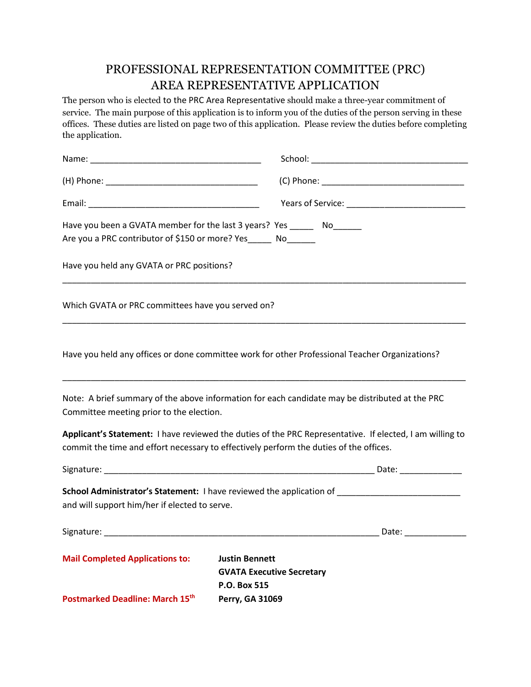## PROFESSIONAL REPRESENTATION COMMITTEE (PRC) AREA REPRESENTATIVE APPLICATION

The person who is elected to the PRC Area Representative should make a three-year commitment of service. The main purpose of this application is to inform you of the duties of the person serving in these offices. These duties are listed on page two of this application. Please review the duties before completing the application.

|                                                                 | Have you been a GVATA member for the last 3 years? Yes _______ No_______                                                                                                                           |
|-----------------------------------------------------------------|----------------------------------------------------------------------------------------------------------------------------------------------------------------------------------------------------|
| Are you a PRC contributor of \$150 or more? Yes_______ No______ |                                                                                                                                                                                                    |
| Have you held any GVATA or PRC positions?                       |                                                                                                                                                                                                    |
| Which GVATA or PRC committees have you served on?               |                                                                                                                                                                                                    |
|                                                                 | Have you held any offices or done committee work for other Professional Teacher Organizations?                                                                                                     |
| Committee meeting prior to the election.                        | Note: A brief summary of the above information for each candidate may be distributed at the PRC                                                                                                    |
|                                                                 | Applicant's Statement: I have reviewed the duties of the PRC Representative. If elected, I am willing to<br>commit the time and effort necessary to effectively perform the duties of the offices. |
|                                                                 |                                                                                                                                                                                                    |
| and will support him/her if elected to serve.                   | School Administrator's Statement: I have reviewed the application of ______________________________                                                                                                |
|                                                                 |                                                                                                                                                                                                    |
| <b>Mail Completed Applications to:</b>                          | <b>Justin Bennett</b><br><b>GVATA Executive Secretary</b><br>P.O. Box 515                                                                                                                          |
| Postmarked Deadline: March 15th                                 | Perry, GA 31069                                                                                                                                                                                    |